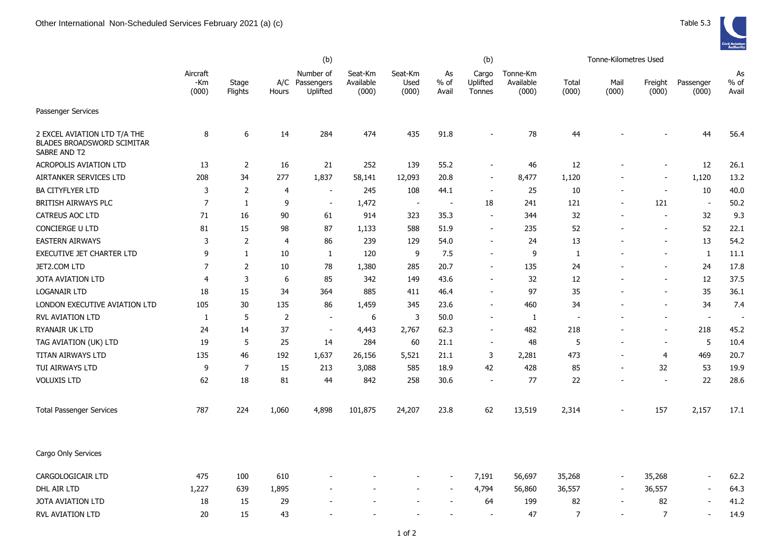|                                                                                   | (b)                      |                  |                |                                         |                               |                          | (b)                      |                             |                                |                | Tonne-Kilometres Used    |                          |                          |                       |
|-----------------------------------------------------------------------------------|--------------------------|------------------|----------------|-----------------------------------------|-------------------------------|--------------------------|--------------------------|-----------------------------|--------------------------------|----------------|--------------------------|--------------------------|--------------------------|-----------------------|
|                                                                                   | Aircraft<br>-Km<br>(000) | Stage<br>Flights | Hours          | Number of<br>A/C Passengers<br>Uplifted | Seat-Km<br>Available<br>(000) | Seat-Km<br>Used<br>(000) | As<br>% of<br>Avail      | Cargo<br>Uplifted<br>Tonnes | Tonne-Km<br>Available<br>(000) | Total<br>(000) | Mail<br>(000)            | Freight<br>(000)         | Passenger<br>(000)       | As<br>$%$ of<br>Avail |
| Passenger Services                                                                |                          |                  |                |                                         |                               |                          |                          |                             |                                |                |                          |                          |                          |                       |
| 2 EXCEL AVIATION LTD T/A THE<br><b>BLADES BROADSWORD SCIMITAR</b><br>SABRE AND T2 | 8                        | 6                | 14             | 284                                     | 474                           | 435                      | 91.8                     |                             | 78                             | 44             |                          |                          | 44                       | 56.4                  |
| <b>ACROPOLIS AVIATION LTD</b>                                                     | 13                       | $\overline{2}$   | 16             | 21                                      | 252                           | 139                      | 55.2                     |                             | 46                             | 12             |                          |                          | 12                       | 26.1                  |
| AIRTANKER SERVICES LTD                                                            | 208                      | 34               | 277            | 1,837                                   | 58,141                        | 12,093                   | 20.8                     |                             | 8,477                          | 1,120          |                          |                          | 1,120                    | 13.2                  |
| <b>BA CITYFLYER LTD</b>                                                           | 3                        | 2                | $\overline{4}$ | $\overline{a}$                          | 245                           | 108                      | 44.1                     |                             | 25                             | 10             |                          |                          | 10                       | 40.0                  |
| BRITISH AIRWAYS PLC                                                               | $\overline{7}$           | $\mathbf{1}$     | 9              | $\overline{a}$                          | 1,472                         | $\overline{\phantom{a}}$ | $\overline{\phantom{a}}$ | 18                          | 241                            | 121            |                          | 121                      | $\blacksquare$           | 50.2                  |
| CATREUS AOC LTD                                                                   | 71                       | 16               | 90             | 61                                      | 914                           | 323                      | 35.3                     |                             | 344                            | 32             |                          |                          | 32                       | 9.3                   |
| CONCIERGE U LTD                                                                   | 81                       | 15               | 98             | 87                                      | 1,133                         | 588                      | 51.9                     |                             | 235                            | 52             |                          | $\overline{\phantom{a}}$ | 52                       | 22.1                  |
| <b>EASTERN AIRWAYS</b>                                                            | 3                        | 2                | $\overline{4}$ | 86                                      | 239                           | 129                      | 54.0                     |                             | 24                             | 13             |                          |                          | 13                       | 54.2                  |
| EXECUTIVE JET CHARTER LTD                                                         | 9                        | $\mathbf{1}$     | 10             | 1                                       | 120                           | 9                        | 7.5                      |                             | 9                              | 1              |                          |                          | $\mathbf{1}$             | 11.1                  |
| JET2.COM LTD                                                                      | $\overline{7}$           | $\overline{2}$   | 10             | 78                                      | 1,380                         | 285                      | 20.7                     |                             | 135                            | 24             |                          |                          | 24                       | 17.8                  |
| <b>JOTA AVIATION LTD</b>                                                          | 4                        | 3                | 6              | 85                                      | 342                           | 149                      | 43.6                     |                             | 32                             | 12             |                          | $\overline{\phantom{a}}$ | 12                       | 37.5                  |
| <b>LOGANAIR LTD</b>                                                               | 18                       | 15               | 34             | 364                                     | 885                           | 411                      | 46.4                     |                             | 97                             | 35             |                          | $\overline{\phantom{a}}$ | 35                       | 36.1                  |
| LONDON EXECUTIVE AVIATION LTD                                                     | 105                      | 30               | 135            | 86                                      | 1,459                         | 345                      | 23.6                     |                             | 460                            | 34             |                          |                          | 34                       | 7.4                   |
| <b>RVL AVIATION LTD</b>                                                           | 1                        | 5                | $\overline{2}$ | $\overline{\phantom{a}}$                | 6                             | 3                        | 50.0                     |                             | $\mathbf{1}$                   | ÷              |                          | $\sim$                   | $\blacksquare$           | $\sim$                |
| <b>RYANAIR UK LTD</b>                                                             | 24                       | 14               | 37             | $\blacksquare$                          | 4,443                         | 2,767                    | 62.3                     |                             | 482                            | 218            |                          |                          | 218                      | 45.2                  |
| TAG AVIATION (UK) LTD                                                             | 19                       | 5                | 25             | 14                                      | 284                           | 60                       | 21.1                     |                             | 48                             | 5              |                          | $\blacksquare$           | 5                        | 10.4                  |
| TITAN AIRWAYS LTD                                                                 | 135                      | 46               | 192            | 1,637                                   | 26,156                        | 5,521                    | 21.1                     | 3                           | 2,281                          | 473            |                          | 4                        | 469                      | 20.7                  |
| TUI AIRWAYS LTD                                                                   | 9                        | $\overline{7}$   | 15             | 213                                     | 3,088                         | 585                      | 18.9                     | 42                          | 428                            | 85             | $\overline{a}$           | 32                       | 53                       | 19.9                  |
| <b>VOLUXIS LTD</b>                                                                | 62                       | 18               | 81             | 44                                      | 842                           | 258                      | 30.6                     | $\overline{\phantom{a}}$    | 77                             | 22             |                          | $\overline{\phantom{a}}$ | 22                       | 28.6                  |
| <b>Total Passenger Services</b>                                                   | 787                      | 224              | 1,060          | 4,898                                   | 101,875                       | 24,207                   | 23.8                     | 62                          | 13,519                         | 2,314          |                          | 157                      | 2,157                    | 17.1                  |
| Cargo Only Services                                                               |                          |                  |                |                                         |                               |                          |                          |                             |                                |                |                          |                          |                          |                       |
| CARGOLOGICAIR LTD                                                                 | 475                      | 100              | 610            |                                         |                               |                          |                          | 7,191                       | 56,697                         | 35,268         | $\overline{a}$           | 35,268                   | $\overline{\phantom{a}}$ | 62.2                  |
| DHL AIR LTD                                                                       | 1,227                    | 639              | 1,895          |                                         |                               |                          |                          | 4,794                       | 56,860                         | 36,557         | $\overline{a}$           | 36,557                   | $\overline{\phantom{a}}$ | 64.3                  |
| <b>JOTA AVIATION LTD</b>                                                          | 18                       | 15               | 29             |                                         |                               |                          |                          | 64                          | 199                            | 82             |                          | 82                       |                          | 41.2                  |
| RVL AVIATION LTD                                                                  | 20                       | 15               | 43             |                                         |                               |                          |                          |                             | 47                             | $\overline{7}$ | $\overline{\phantom{a}}$ | $\overline{7}$           |                          | 14.9                  |